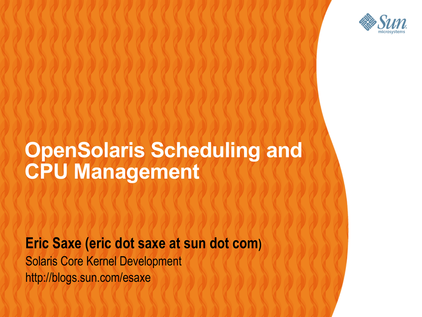

#### **OpenSolaris Scheduling and CPU Management**

 $\alpha$  ,  $\alpha$  ,  $\alpha$  ,  $\alpha$  ,  $\alpha$  ,  $\alpha$  ,  $\alpha$  ,  $\alpha$ 

,,,,,,,,,,,,,,,

#### **Eric Saxe (eric dot saxe at sun dot com)**

Solaris Core Kernel Development http://blogs.sun.com/esaxe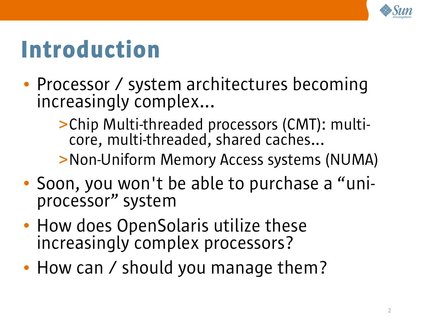

## Introduction

- Processor / system architectures becoming increasingly complex...
	- >Chip Multi-threaded processors (CMT): multicore, multi-threaded, shared caches...

#### >Non-Uniform Memory Access systems (NUMA)

- Soon, you won't be able to purchase a "uniprocessor" system
- How does OpenSolaris utilize these increasingly complex processors?
- How can / should you manage them?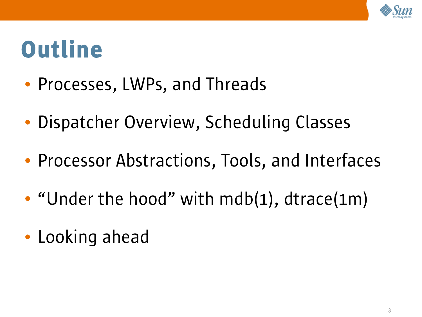

#### **Outline**

- Processes, LWPs, and Threads
- Dispatcher Overview, Scheduling Classes
- Processor Abstractions, Tools, and Interfaces
- "Under the hood" with mdb(1), dtrace(1m)
- Looking ahead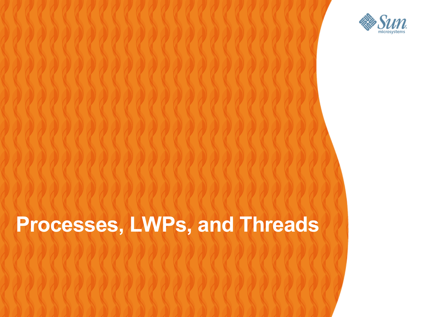

#### **Processes, LWPs, and Threads**

,,,,,,,,,,,,,,,,,,,,,,,,,,,,,,

,,,,,,,,,,,,,,,,,,,,,,,,,,

,,,,,,,,,,,,,,,,,,,,,,,,,

,,,,,,,,,,,,,,,,,,,,,,,,,,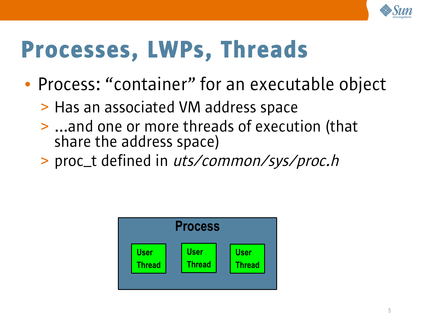

## Processes, LWPs, Threads

- Process: "container" for an executable object
	- > Has an associated VM address space
	- > ...and one or more threads of execution (that share the address space)
	- > proc\_t defined in uts/common/sys/proc.h

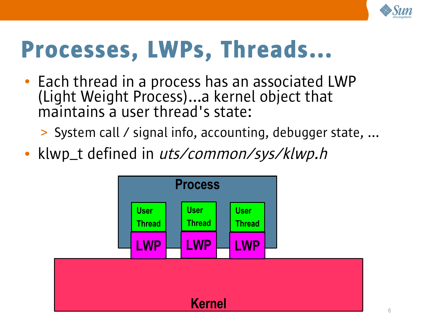

#### Processes, LWPs, Threads...

• Each thread in a process has an associated LWP (Light Weight Process)...a kernel object that maintains a user thread's state:

> System call / signal info, accounting, debugger state, ...

• klwp\_t defined in uts/common/sys/klwp.h

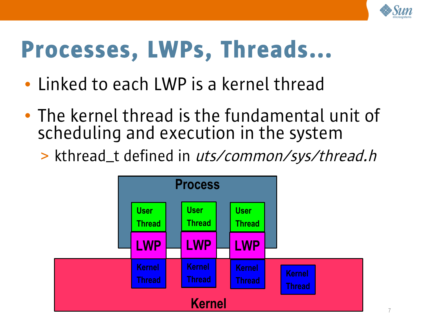

#### Processes, LWPs, Threads...

- Linked to each LWP is a kernel thread
- The kernel thread is the fundamental unit of scheduling and execution in the system
	- > kthread\_t defined in uts/common/sys/thread.h

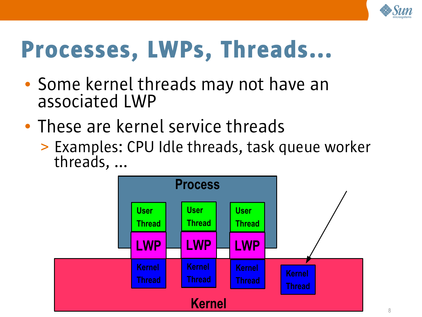

### Processes, LWPs, Threads...

- Some kernel threads may not have an associated LWP
- These are kernel service threads
	- > Examples: CPU Idle threads, task queue worker threads, ...

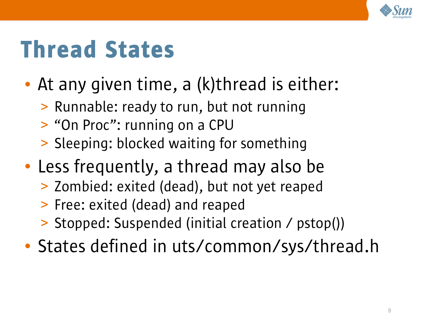

# Thread States

- At any given time, a (k) thread is either:
	- > Runnable: ready to run, but not running
	- > "On Proc": running on a CPU
	- > Sleeping: blocked waiting for something
- Less frequently, a thread may also be
	- > Zombied: exited (dead), but not yet reaped
	- > Free: exited (dead) and reaped
	- > Stopped: Suspended (initial creation / pstop())
- States defined in uts/common/sys/thread.h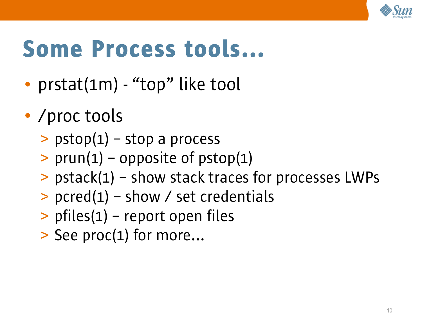

## Some Process tools...

- prstat(1m) "top" like tool
- /proc tools
	- $\geq$  pstop(1) stop a process
	- $>$  prun(1) opposite of pstop(1)
	- > pstack(1) show stack traces for processes LWPs
	- $>$  pcred(1) show / set credentials
	- > pfiles(1) report open files
	- > See proc(1) for more...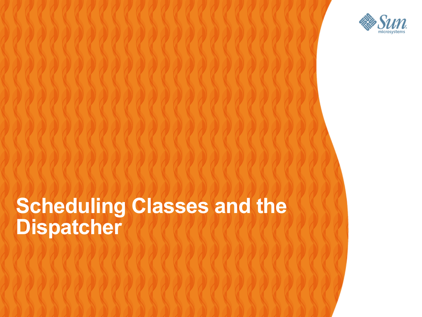

#### **Scheduling Classes and the Dispatcher**0000000000000

,,,,,,,,,,,,,,,,,,,,

,,,,,,,,,,,,,,,,,,,,,,,,

,,,,,,,,,,,,,,,,,,,,,,,,,

,,,,,,,,,,,,,,,,,,,,,,,,,

,,,,,,,,,,,,,,,,,,,,,,,,,,,,,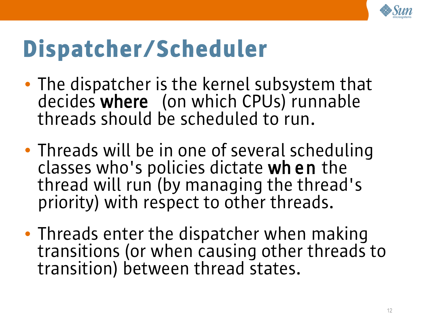

# Dispatcher/Scheduler

- The dispatcher is the kernel subsystem that decides where (on which CPUs) runnable threads should be scheduled to run.
- Threads will be in one of several scheduling classes who's policies dictate wh en the thread will run (by managing the thread's priority) with respect to other threads.
- Threads enter the dispatcher when making transitions (or when causing other threads to transition) between thread states.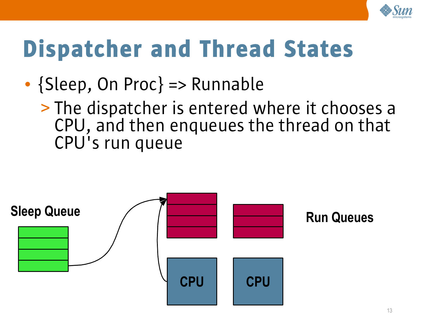

- {Sleep, On Proc} => Runnable
	- > The dispatcher is entered where it chooses a CPU, and then enqueues the thread on that CPU's run queue

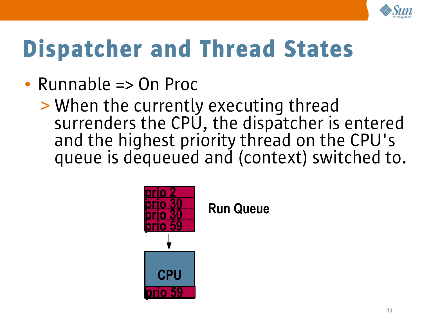

- Runnable => On Proc
	- > When the currently executing thread surrenders the CPU, the dispatcher is entered and the highest priority thread on the CPU's queue is dequeued and (context) switched to.



**Run Queue**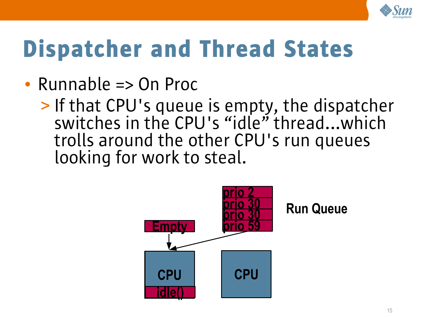

- Runnable => On Proc
	- > If that CPU's queue is empty, the dispatcher switches in the CPU's "idle" thread...which trolls around the other CPU's run queues looking for work to steal.

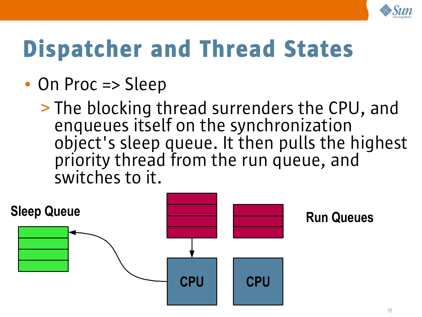

- On Proc => Sleep
	- > The blocking thread surrenders the CPU, and enqueues itself on the synchronization object's sleep queue. It then pulls the highest priority thread from the run queue, and switches to it.

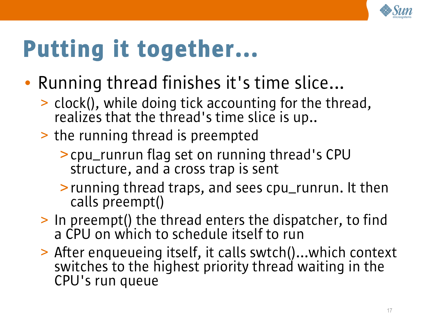

# Putting it together...

- Running thread finishes it's time slice...
	- > clock(), while doing tick accounting for the thread, realizes that the thread's time slice is up..
	- > the running thread is preempted
		- >cpu\_runrun flag set on running thread's CPU structure, and a cross trap is sent
		- >running thread traps, and sees cpu\_runrun. It then calls preempt()
	- > In preempt() the thread enters the dispatcher, to find a CPU on which to schedule itself to run
	- > After enqueueing itself, it calls swtch()...which context switches to the highest priority thread waiting in the CPU's run queue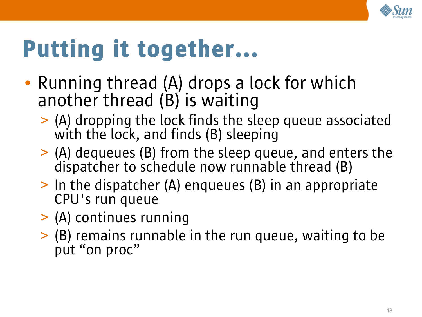

# Putting it together...

- Running thread (A) drops a lock for which another thread (B) is waiting
	- > (A) dropping the lock finds the sleep queue associated with the lock, and finds (B) sleeping
	- > (A) dequeues (B) from the sleep queue, and enters the dispatcher to schedule now runnable thread (B)
	- > In the dispatcher (A) enqueues (B) in an appropriate CPU's run queue
	- > (A) continues running
	- > (B) remains runnable in the run queue, waiting to be put "on proc"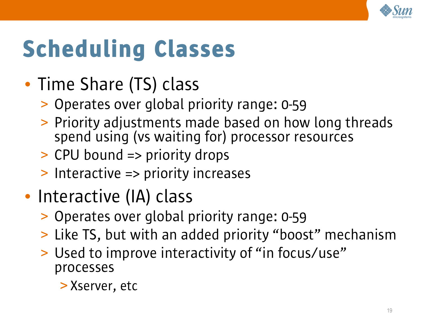

# Scheduling Classes

- Time Share (TS) class
	- > Operates over global priority range: 0-59
	- > Priority adjustments made based on how long threads spend using (vs waiting for) processor resources
	- > CPU bound => priority drops
	- > Interactive => priority increases
- Interactive (IA) class
	- > Operates over global priority range: 0-59
	- > Like TS, but with an added priority "boost" mechanism
	- > Used to improve interactivity of "in focus/use" processes
		- > Xserver, etc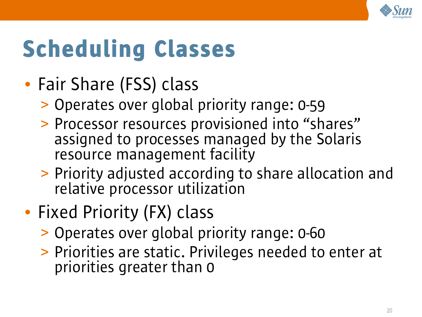

# Scheduling Classes

- Fair Share (FSS) class
	- > Operates over global priority range: 0-59
	- > Processor resources provisioned into "shares" assigned to processes managed by the Solaris resource management facility
	- > Priority adjusted according to share allocation and relative processor utilization
- Fixed Priority (FX) class
	- > Operates over global priority range: 0-60
	- > Priorities are static. Privileges needed to enter at priorities greater than 0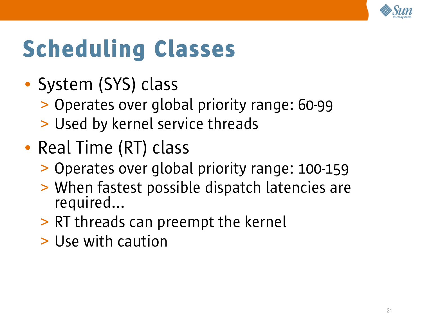

# Scheduling Classes

- System (SYS) class
	- > Operates over global priority range: 60-99
	- > Used by kernel service threads
- Real Time (RT) class
	- > Operates over global priority range: 100-159
	- > When fastest possible dispatch latencies are required...
	- > RT threads can preempt the kernel
	- > Use with caution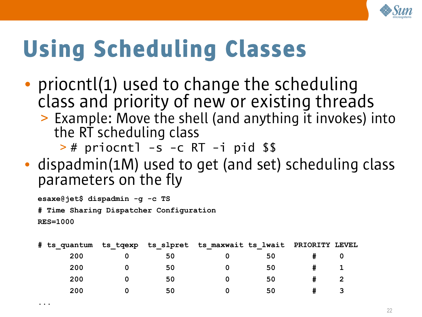

# Using Scheduling Classes

- priocntl(1) used to change the scheduling class and priority of new or existing threads
	- > Example: Move the shell (and anything it invokes) into the RT scheduling class

> # priocntl -s -c RT -i pid \$\$

• dispadmin(1M) used to get (and set) scheduling class parameters on the fly

**esaxe@jet\$ dispadmin -g -c TS # Time Sharing Dispatcher Configuration RES=1000**

**...**

|     |    | # ts quantum ts tqexp ts slpret ts maxwait ts lwait PRIORITY LEVEL |    |  |
|-----|----|--------------------------------------------------------------------|----|--|
| 200 | 50 |                                                                    | 50 |  |
| 200 | 50 |                                                                    | 50 |  |
| 200 | 50 |                                                                    | 50 |  |
| 200 | 50 |                                                                    | 50 |  |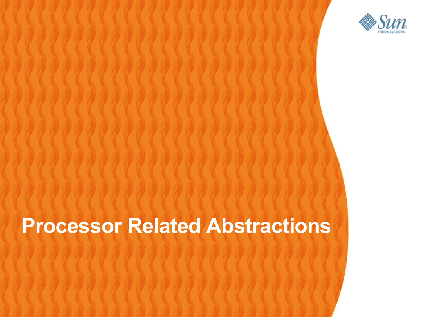

#### **Processor Related Abstractions**

,,,,,,,,,,,,,,,,,,,,,,,,,,

,,,,,,,,,,,,,,,,,,,,,,,,,,

,,,,,,,,,,,,,,,,,,,,,,,,,,

,,,,,,,,,,,,,,,,,,,,,,,,,,,,,,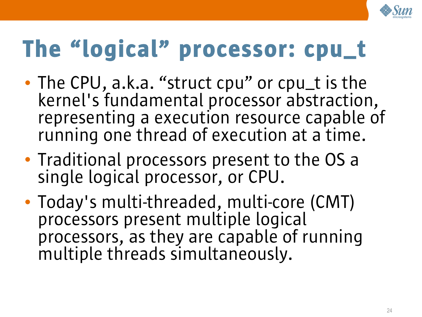

# The "logical" processor: cpu\_t

- The CPU, a.k.a. "struct cpu" or cpu\_t is the kernel's fundamental processor abstraction, representing a execution resource capable of running one thread of execution at a time.
- Traditional processors present to the OS a single logical processor, or CPU.
- Today's multi-threaded, multi-core (CMT) processors present multiple logical processors, as they are capable of running multiple threads simultaneously.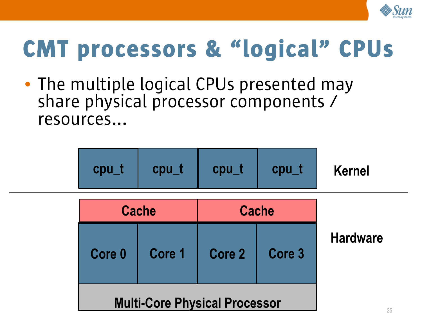

# CMT processors & "logical" CPUs

• The multiple logical CPUs presented may share physical processor components / resources...



|                                      | <b>Cache</b> |               | <b>Cache</b>      |                 |
|--------------------------------------|--------------|---------------|-------------------|-----------------|
| Core 0                               | Core 1       | <b>Core 2</b> | Core <sub>3</sub> | <b>Hardware</b> |
| <b>Multi-Core Physical Processor</b> | 25           |               |                   |                 |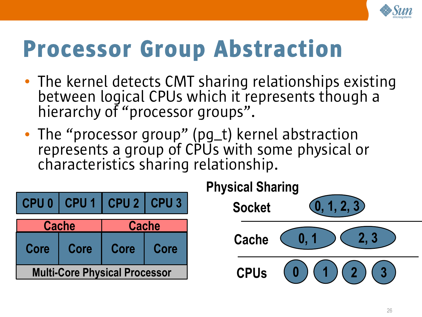

### Processor Group Abstraction

- The kernel detects CMT sharing relationships existing between logical CPUs which it represents though a hierarchy of "processor groups".
- The "processor group" (pg\_t) kernel abstraction represents a group of CPUs with some physical or characteristics sharing relationship.

|                                      |       | CPU 0 CPU 1 CPU 2 CPU 3 |  |  |  |  |
|--------------------------------------|-------|-------------------------|--|--|--|--|
|                                      | Cache | <b>Cache</b>            |  |  |  |  |
| Core                                 | Core  | Core<br>Core            |  |  |  |  |
| <b>Multi-Core Physical Processor</b> |       |                         |  |  |  |  |

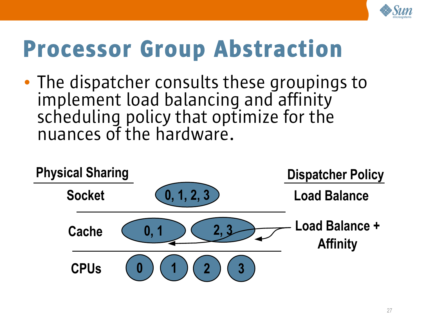

#### Processor Group Abstraction

• The dispatcher consults these groupings to implement load balancing and affinity scheduling policy that optimize for the nuances of the hardware.

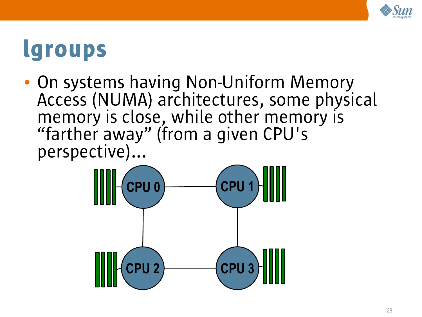

• On systems having Non-Uniform Memory Access (NUMA) architectures, some physical memory is close, while other memory is "farther away" (from a given CPU's perspective)...

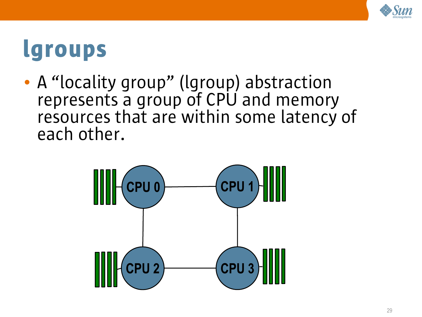

• A "locality group" (Igroup) abstraction represents a group of CPU and memory resources that are within some latency of each other.

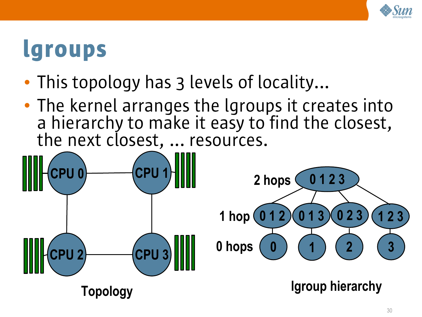

- This topology has 3 levels of locality...
- The kernel arranges the lgroups it creates into a hierarchy to make it easy to find the closest, the next closest, ... resources.

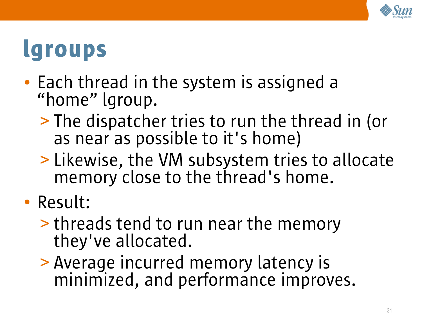

- Each thread in the system is assigned a "home" lgroup.
	- > The dispatcher tries to run the thread in (or as near as possible to it's home)
	- > Likewise, the VM subsystem tries to allocate memory close to the thread's home.
- Result:
	- > threads tend to run near the memory they've allocated.
	- > Average incurred memory latency is minimized, and performance improves.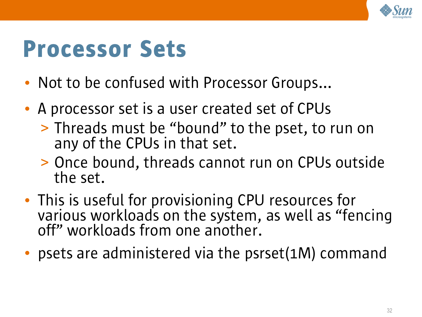

#### Processor Sets

- Not to be confused with Processor Groups...
- A processor set is a user created set of CPUs
	- > Threads must be "bound" to the pset, to run on any of the CPUs in that set.
	- > Once bound, threads cannot run on CPUs outside the set.
- This is useful for provisioning CPU resources for various workloads on the system, as well as "fencing off" workloads from one another.
- psets are administered via the psrset(1M) command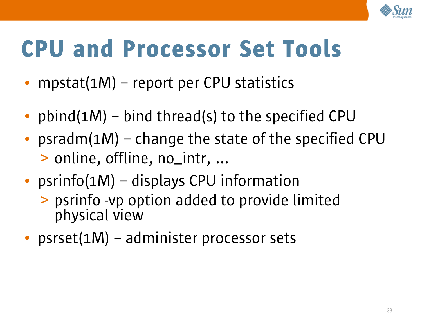

### CPU and Processor Set Tools

- mpstat(1M) report per CPU statistics
- pbind(1M) bind thread(s) to the specified CPU
- psradm(1M) change the state of the specified CPU > online, offline, no\_intr, ...
- psrinfo(1M) displays CPU information
	- > psrinfo -vp option added to provide limited physical view
- psrset(1M) administer processor sets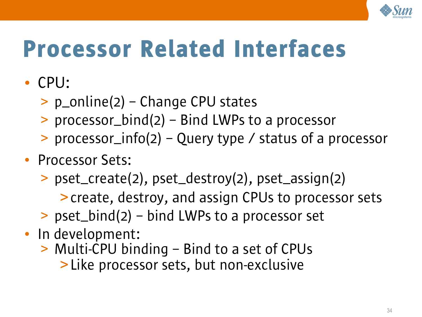

# Processor Related Interfaces

- CPU:
	- > p\_online(2) Change CPU states
	- > processor\_bind(2) Bind LWPs to a processor
	- > processor\_info(2) Query type / status of a processor
- Processor Sets:
	- > pset\_create(2), pset\_destroy(2), pset\_assign(2)
		- >create, destroy, and assign CPUs to processor sets
	- > pset\_bind(2) bind LWPs to a processor set
- In development:
	- > Multi-CPU binding Bind to a set of CPUs
		- >Like processor sets, but non-exclusive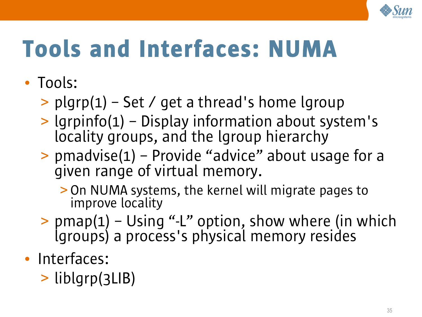

# Tools and Interfaces: NUMA

- Tools:
	- $>$  plgrp(1) Set / get a thread's home lgroup
	- > lgrpinfo(1) Display information about system's locality groups, and the lgroup hierarchy
	- > pmadvise(1) Provide "advice" about usage for a given range of virtual memory.
		- > On NUMA systems, the kernel will migrate pages to improve locality
	- $>$  pmap(1) Using "-L" option, show where (in which lgroups) a process's physical memory resides
- Interfaces:
	- > liblgrp(3LIB)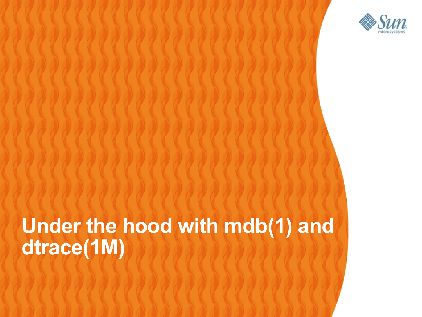

#### **Under the hood with mdb(1) and dtrace(1M)**19999999999999

,,,,,,,,,,,,,,,,,,,,,,,,,

,,,,,,,,,,,,,,,,,,,,,,,,,

,,,,,,,,,,,,,,,,,,,,,,,,,,,

,,,,,,,,,,,,,,,,,,,,,,,,,

,,,,,,,,,,,,,,,,,,,,,,,,,,,,,,,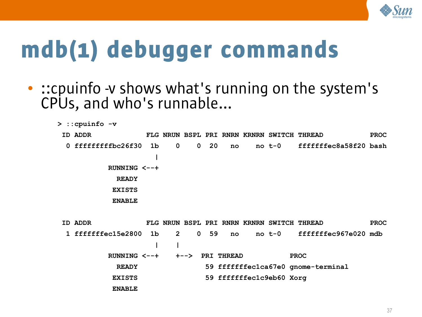

- ::cpuinfo -v shows what's running on the system's CPUs, and who's runnable...
	- **> ::cpuinfo -v ID ADDR FLG NRUN BSPL PRI RNRN KRNRN SWITCH THREAD PROC 0 fffffffffbc26f30 1b 0 0 20 no no t-0 fffffffec8a58f20 bash | RUNNING <--+ READY EXISTS ENABLE**
	- **ID ADDR FLG NRUN BSPL PRI RNRN KRNRN SWITCH THREAD PROC 1 fffffffec15e2800 1b 2 0 59 no no t-0 fffffffec967e020 mdb 1 1 1 1 1 1 1 1 1 1 RUNNING <--+ +--> PRI THREAD PROC READY 59 fffffffec1ca67e0 gnome-terminal** EXISTS 59 fffffffec1c9eb60 Xorg  **ENABLE**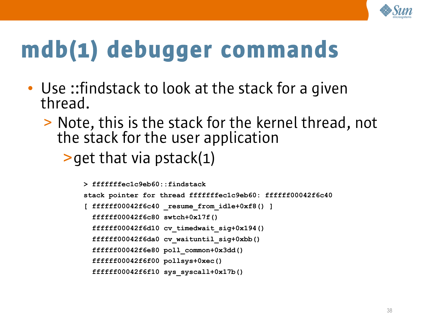

- Use ::findstack to look at the stack for a given thread.
	- > Note, this is the stack for the kernel thread, not the stack for the user application
		- $\rightarrow$  get that via pstack(1)

```
> fffffffec1c9eb60::findstack
stack pointer for thread fffffffec1c9eb60: ffffff00042f6c40
[ ffffff00042f6c40 _resume_from_idle+0xf8() ]
   ffffff00042f6c80 swtch+0x17f()
   ffffff00042f6d10 cv_timedwait_sig+0x194()
   ffffff00042f6da0 cv_waituntil_sig+0xbb()
   ffffff00042f6e80 poll_common+0x3dd()
   ffffff00042f6f00 pollsys+0xec()
   ffffff00042f6f10 sys_syscall+0x17b()
```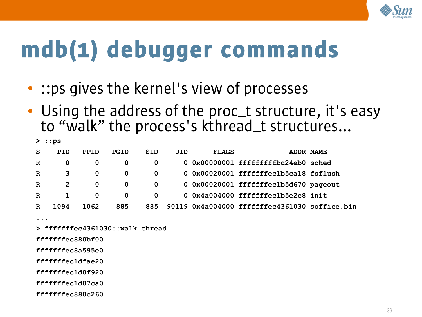

- :: ps gives the kernel's view of processes
- Using the address of the proc\_t structure, it's easy to "walk" the process's kthread\_t structures...

| $>$ : : ps  |      |             |             |     |     |              |                                               |           |
|-------------|------|-------------|-------------|-----|-----|--------------|-----------------------------------------------|-----------|
| S           | PID  | <b>PPID</b> | <b>PGID</b> | SID | UID | <b>FLAGS</b> |                                               | ADDR NAME |
| R           | 0    | 0           | 0           | 0   |     |              | 0 0x00000001 fffffffffbc24eb0 sched           |           |
| $\mathbf R$ | 3    | 0           | 0           | 0   |     |              | $0.0x00020001$ fffffffec1b5ca18 fsflush       |           |
| $\mathbf R$ | 2    | 0           | 0           | 0   |     |              | 0 0x00020001 fffffffec1b5d670 pageout         |           |
| R           |      | 0           | 0           | 0   |     |              | 0 0x4a004000 fffffffec1b5e2c8 init            |           |
| R           | 1094 | 1062        | 885         | 885 |     |              | 90119 0x4a004000 fffffffec4361030 soffice.bin |           |

**...**

**> fffffffec4361030::walk thread** 

**fffffffec880bf00**

**fffffffec8a595e0**

**fffffffec1dfae20**

**fffffffec1d0f920**

**fffffffec1d07ca0**

**fffffffec880c260**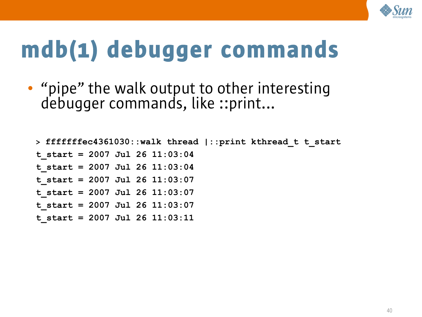

• "pipe" the walk output to other interesting debugger commands, like ::print...

```
> fffffffec4361030::walk thread |::print kthread_t t_start
t_start = 2007 Jul 26 11:03:04
t_start = 2007 Jul 26 11:03:04
t_start = 2007 Jul 26 11:03:07
t_start = 2007 Jul 26 11:03:07
t_start = 2007 Jul 26 11:03:07
t_start = 2007 Jul 26 11:03:11
```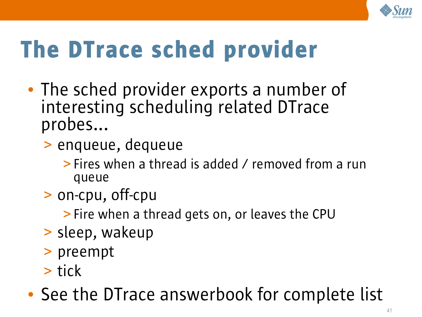

# The DTrace sched provider

- The sched provider exports a number of interesting scheduling related DTrace probes...
	- > enqueue, dequeue
		- > Fires when a thread is added / removed from a run queue
	- > on-cpu, off-cpu
		- > Fire when a thread gets on, or leaves the CPU
	- > sleep, wakeup
	- > preempt
	- > tick
- See the DTrace answerbook for complete list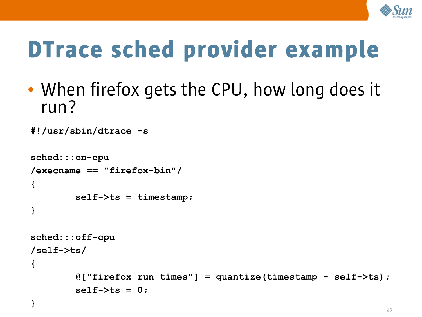

# DTrace sched provider example

• When firefox gets the CPU, how long does it run?

```
#!/usr/sbin/dtrace -s
sched:::on-cpu
/execname == "firefox-bin"/
{
         self->ts = timestamp;
}
sched:::off-cpu
/self->ts/
{
         @["firefox run times"] = quantize(timestamp - self->ts);
         self->ts = 0;
}
```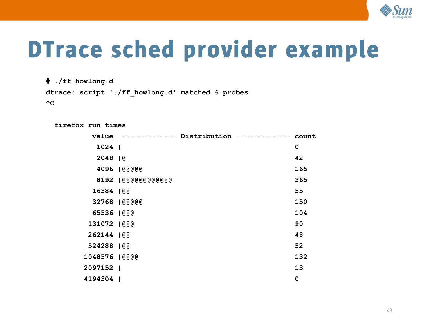

### DTrace sched provider example

**# ./ff\_howlong.d**

**dtrace: script './ff\_howlong.d' matched 6 probes**

 $^{\wedge}C$ 

 **firefox run times** 

| value          |                     | ------------ Distribution ------------- | count       |
|----------------|---------------------|-----------------------------------------|-------------|
| $1024$         |                     |                                         | $\mathbf 0$ |
| 2048   @       |                     |                                         | 42          |
|                | 4096   @@@@@        |                                         | 165         |
|                | 8192   @@@@@@@@@@@@ |                                         | 365         |
| 16384   @@     |                     |                                         | 55          |
|                | 32768  @@@@@        |                                         | 150         |
| 65536   @@@    |                     |                                         | 104         |
| 131072   @@@   |                     |                                         | 90          |
| 262144   @@    |                     |                                         | 48          |
| 524288 100     |                     |                                         | 52          |
| 1048576   @@@@ |                     |                                         | 132         |
| 2097152        |                     |                                         | 13          |
| 4194304        |                     |                                         | $\mathbf 0$ |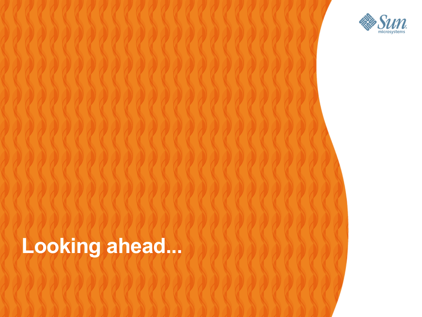

#### **Looking ahead...**

1999999999999999999999

,,,,,,,,,,,,,,,,,,,,,,,,,,,,,

1999999999999999999999999

,,,,,,,,,,,,,,,,,,,,,,,,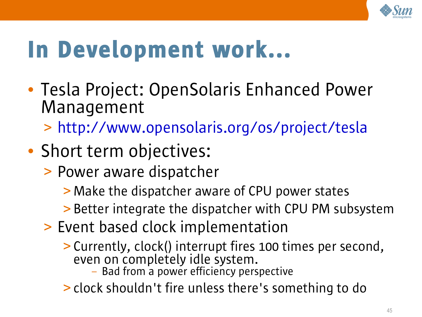

## In Development work...

• Tesla Project: OpenSolaris Enhanced Power Management

> <http://www.opensolaris.org/os/project/tesla>

- Short term objectives:
	- > Power aware dispatcher

> Make the dispatcher aware of CPU power states

- > Better integrate the dispatcher with CPU PM subsystem
- > Event based clock implementation
	- > Currently, clock() interrupt fires 100 times per second, even on completely idle system.
		- Bad from a power efficiency perspective
	- > clock shouldn't fire unless there's something to do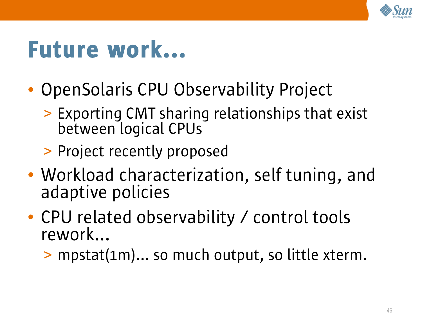

#### Future work...

- OpenSolaris CPU Observability Project
	- > Exporting CMT sharing relationships that exist between logical CPUs
	- > Project recently proposed
- Workload characterization, self tuning, and adaptive policies
- CPU related observability / control tools rework...
	- > mpstat(1m)... so much output, so little xterm.